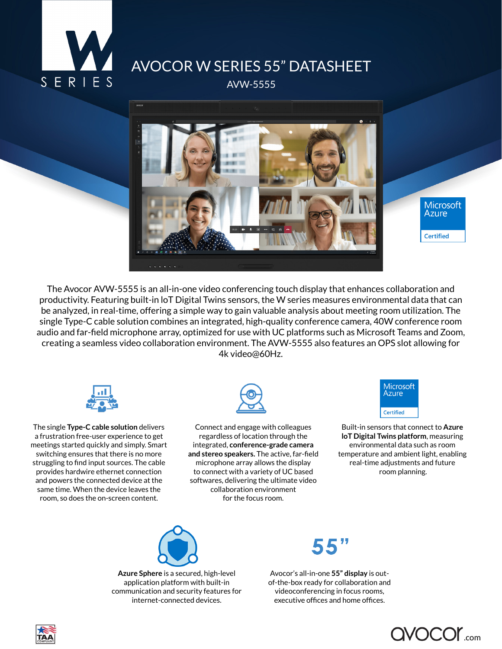

## AVOCOR W SERIES 55" DATASHEET

AVW-5555



The Avocor AVW-5555 is an all-in-one video conferencing touch display that enhances collaboration and productivity. Featuring built-in loT Digital Twins sensors, the W series measures environmental data that can be analyzed, in real-time, offering a simple way to gain valuable analysis about meeting room utilization. The single Type-C cable solution combines an integrated, high-quality conference camera, 40W conference room audio and far-field microphone array, optimized for use with UC platforms such as Microsoft Teams and Zoom, creating a seamless video collaboration environment. The AVW-5555 also features an OPS slot allowing for 4k video@60Hz.



The single **Type-C cable solution** delivers a frustration free-user experience to get meetings started quickly and simply. Smart switching ensures that there is no more struggling to find input sources. The cable provides hardwire ethernet connection and powers the connected device at the same time. When the device leaves the room, so does the on-screen content.



Connect and engage with colleagues regardless of location through the integrated, **conference-grade camera and stereo speakers.** The active, far-field microphone array allows the display to connect with a variety of UC based softwares, delivering the ultimate video collaboration environment for the focus room.



Built-in sensors that connect to **Azure loT Digital Twins platform**, measuring environmental data such as room temperature and ambient light, enabling real-time adjustments and future room planning.



**Azure Sphere** is a secured, high-level application platform with built-in communication and security features for internet-connected devices.

Avocor's all-in-one **55" display** is outof-the-box ready for collaboration and videoconferencing in focus rooms, executive offices and home offices.